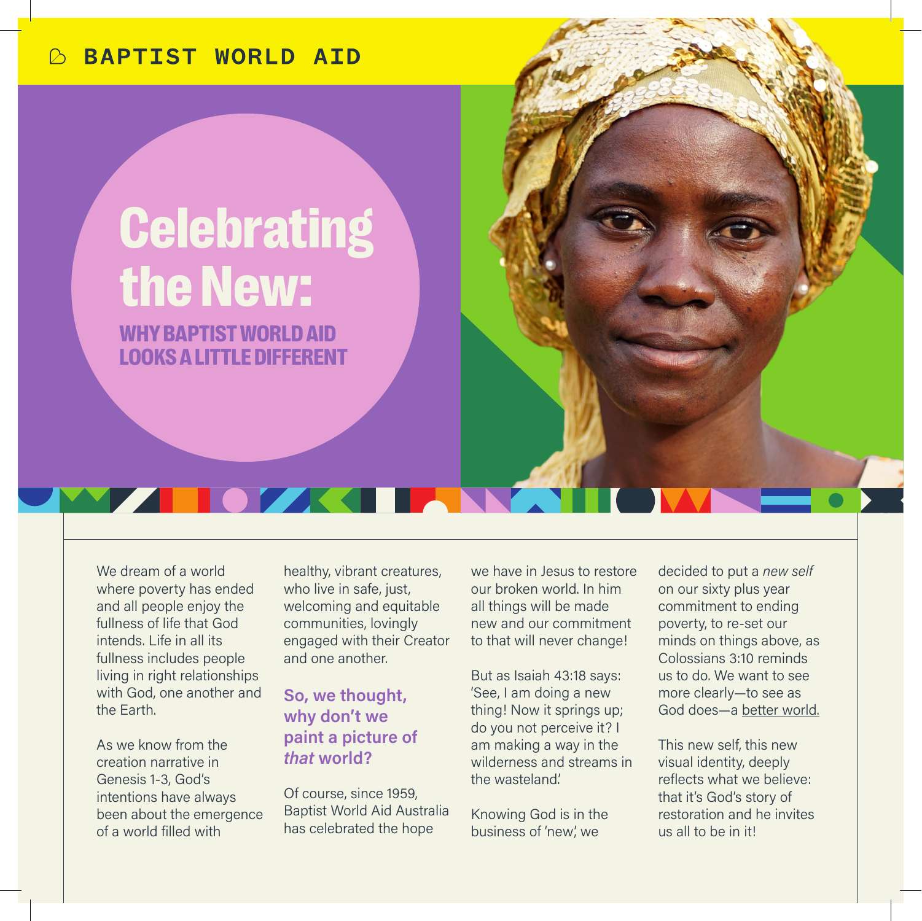## **BAPTIST WORLD AID**

## **Celebrating** the New:

WHY BAPTIST WORLD AID LOOKS A LITTLE DIFFERENT

We dream of a world where poverty has ended and all people enjoy the fullness of life that God intends. Life in all its fullness includes people living in right relationships with God, one another and the Earth.

As we know from the creation narrative in Genesis 1-3, God's intentions have always been about the emergence of a world filled with

healthy, vibrant creatures, who live in safe, just, welcoming and equitable communities, lovingly engaged with their Creator and one another.

**So, we thought, why don't we paint a picture of**  *that* **world?**

Of course, since 1959, Baptist World Aid Australia has celebrated the hope

we have in Jesus to restore our broken world. In him all things will be made new and our commitment to that will never change!

But as Isaiah 43:18 says: 'See, I am doing a new thing! Now it springs up; do you not perceive it? I am making a way in the wilderness and streams in the wasteland.'

Knowing God is in the business of 'new', we

decided to put a *new self* on our sixty plus year commitment to ending poverty, to re-set our minds on things above, as Colossians 3:10 reminds us to do. We want to see more clearly—to see as God does—a better world.

This new self, this new visual identity, deeply reflects what we believe: that it's God's story of restoration and he invites us all to be in it!